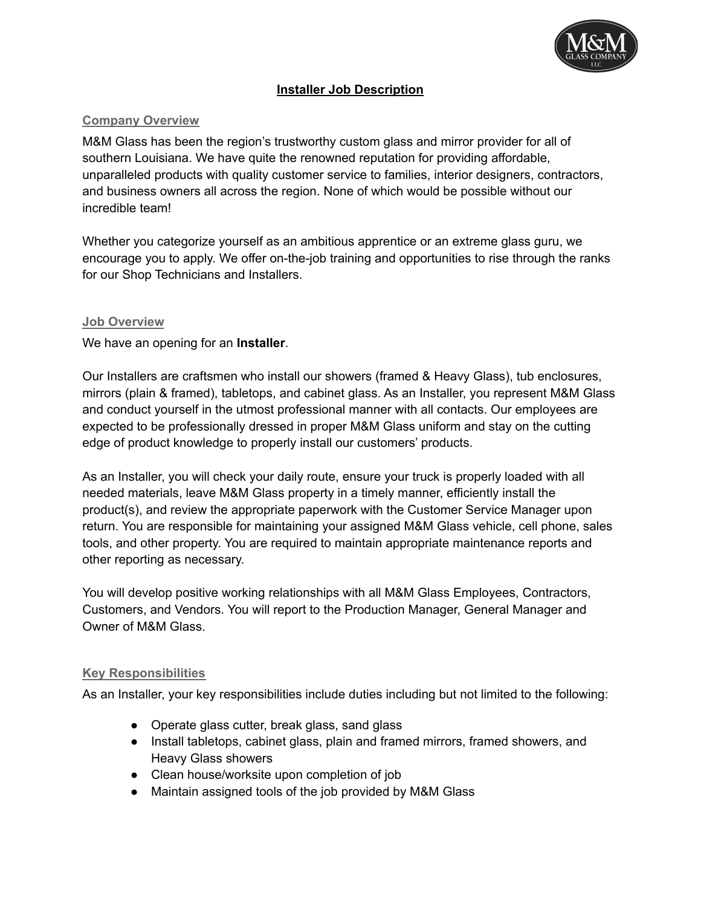

## **Installer Job Description**

#### **Company Overview**

M&M Glass has been the region's trustworthy custom glass and mirror provider for all of southern Louisiana. We have quite the renowned reputation for providing affordable, unparalleled products with quality customer service to families, interior designers, contractors, and business owners all across the region. None of which would be possible without our incredible team!

Whether you categorize yourself as an ambitious apprentice or an extreme glass guru, we encourage you to apply. We offer on-the-job training and opportunities to rise through the ranks for our Shop Technicians and Installers.

#### **Job Overview**

We have an opening for an **Installer**.

Our Installers are craftsmen who install our showers (framed & Heavy Glass), tub enclosures, mirrors (plain & framed), tabletops, and cabinet glass. As an Installer, you represent M&M Glass and conduct yourself in the utmost professional manner with all contacts. Our employees are expected to be professionally dressed in proper M&M Glass uniform and stay on the cutting edge of product knowledge to properly install our customers' products.

As an Installer, you will check your daily route, ensure your truck is properly loaded with all needed materials, leave M&M Glass property in a timely manner, efficiently install the product(s), and review the appropriate paperwork with the Customer Service Manager upon return. You are responsible for maintaining your assigned M&M Glass vehicle, cell phone, sales tools, and other property. You are required to maintain appropriate maintenance reports and other reporting as necessary.

You will develop positive working relationships with all M&M Glass Employees, Contractors, Customers, and Vendors. You will report to the Production Manager, General Manager and Owner of M&M Glass.

#### **Key Responsibilities**

As an Installer, your key responsibilities include duties including but not limited to the following:

- Operate glass cutter, break glass, sand glass
- Install tabletops, cabinet glass, plain and framed mirrors, framed showers, and Heavy Glass showers
- Clean house/worksite upon completion of job
- Maintain assigned tools of the job provided by M&M Glass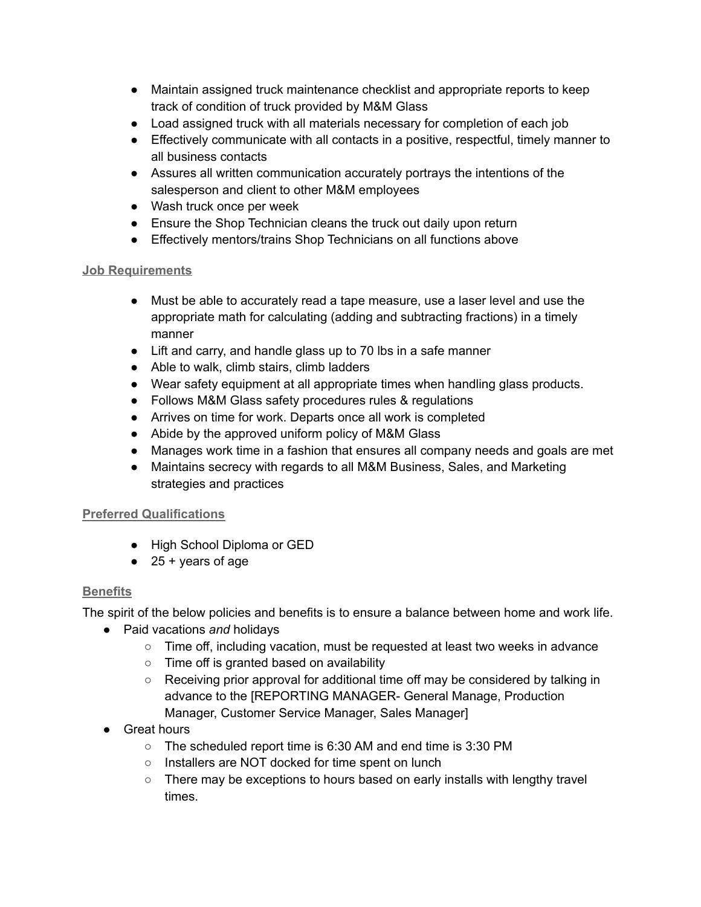- Maintain assigned truck maintenance checklist and appropriate reports to keep track of condition of truck provided by M&M Glass
- Load assigned truck with all materials necessary for completion of each job
- Effectively communicate with all contacts in a positive, respectful, timely manner to all business contacts
- Assures all written communication accurately portrays the intentions of the salesperson and client to other M&M employees
- Wash truck once per week
- Ensure the Shop Technician cleans the truck out daily upon return
- Effectively mentors/trains Shop Technicians on all functions above

## **Job Requirements**

- Must be able to accurately read a tape measure, use a laser level and use the appropriate math for calculating (adding and subtracting fractions) in a timely manner
- Lift and carry, and handle glass up to 70 lbs in a safe manner
- Able to walk, climb stairs, climb ladders
- Wear safety equipment at all appropriate times when handling glass products.
- Follows M&M Glass safety procedures rules & regulations
- Arrives on time for work. Departs once all work is completed
- Abide by the approved uniform policy of M&M Glass
- Manages work time in a fashion that ensures all company needs and goals are met
- Maintains secrecy with regards to all M&M Business, Sales, and Marketing strategies and practices

# **Preferred Qualifications**

- High School Diploma or GED
- $\bullet$  25 + years of age

# **Benefits**

The spirit of the below policies and benefits is to ensure a balance between home and work life.

- Paid vacations *and* holidays
	- Time off, including vacation, must be requested at least two weeks in advance
	- Time off is granted based on availability
	- Receiving prior approval for additional time off may be considered by talking in advance to the [REPORTING MANAGER- General Manage, Production Manager, Customer Service Manager, Sales Manager]
- Great hours
	- The scheduled report time is 6:30 AM and end time is 3:30 PM
	- Installers are NOT docked for time spent on lunch
	- There may be exceptions to hours based on early installs with lengthy travel times.